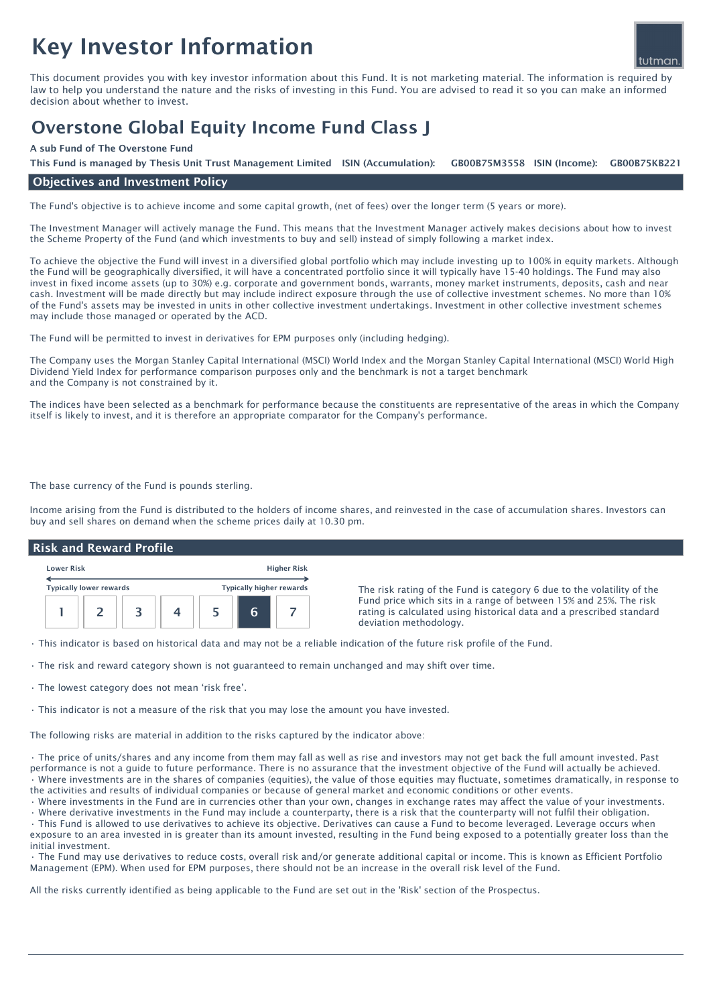# Key Investor Information



This document provides you with key investor information about this Fund. It is not marketing material. The information is required by law to help you understand the nature and the risks of investing in this Fund. You are advised to read it so you can make an informed decision about whether to invest.

## Overstone Global Equity Income Fund Class J

#### A sub Fund of The Overstone Fund

GB00B75M3558 ISIN (Income): This Fund is managed by Thesis Unit Trust Management Limited ISIN (Accumulation): GB00B75M3558 ISIN (Income): GB00B75KB221

#### Objectives and Investment Policy

The Fund's objective is to achieve income and some capital growth, (net of fees) over the longer term (5 years or more).

The Investment Manager will actively manage the Fund. This means that the Investment Manager actively makes decisions about how to invest the Scheme Property of the Fund (and which investments to buy and sell) instead of simply following a market index.

To achieve the objective the Fund will invest in a diversified global portfolio which may include investing up to 100% in equity markets. Although the Fund will be geographically diversified, it will have a concentrated portfolio since it will typically have 15-40 holdings. The Fund may also invest in fixed income assets (up to 30%) e.g. corporate and government bonds, warrants, money market instruments, deposits, cash and near cash. Investment will be made directly but may include indirect exposure through the use of collective investment schemes. No more than 10% of the Fund's assets may be invested in units in other collective investment undertakings. Investment in other collective investment schemes may include those managed or operated by the ACD.

The Fund will be permitted to invest in derivatives for EPM purposes only (including hedging).

The Company uses the Morgan Stanley Capital International (MSCI) World Index and the Morgan Stanley Capital International (MSCI) World High Dividend Yield Index for performance comparison purposes only and the benchmark is not a target benchmark and the Company is not constrained by it.

The indices have been selected as a benchmark for performance because the constituents are representative of the areas in which the Company itself is likely to invest, and it is therefore an appropriate comparator for the Company's performance.

The base currency of the Fund is pounds sterling.

Income arising from the Fund is distributed to the holders of income shares, and reinvested in the case of accumulation shares. Investors can buy and sell shares on demand when the scheme prices daily at 10.30 pm.

#### Risk and Reward Profile

| <b>Lower Risk</b>              |  |  |  | <b>Higher Risk</b>              |    |  |
|--------------------------------|--|--|--|---------------------------------|----|--|
| <b>Typically lower rewards</b> |  |  |  | <b>Typically higher rewards</b> |    |  |
|                                |  |  |  |                                 | ุค |  |

The risk rating of the Fund is category 6 due to the volatility of the Fund price which sits in a range of between 15% and 25%. The risk rating is calculated using historical data and a prescribed standard deviation methodology.

• This indicator is based on historical data and may not be a reliable indication of the future risk profile of the Fund.

• The risk and reward category shown is not guaranteed to remain unchanged and may shift over time.

• The lowest category does not mean 'risk free'.

• This indicator is not a measure of the risk that you may lose the amount you have invested.

The following risks are material in addition to the risks captured by the indicator above:

• The price of units/shares and any income from them may fall as well as rise and investors may not get back the full amount invested. Past performance is not a guide to future performance. There is no assurance that the investment objective of the Fund will actually be achieved. • Where investments are in the shares of companies (equities), the value of those equities may fluctuate, sometimes dramatically, in response to the activities and results of individual companies or because of general market and economic conditions or other events.

• Where investments in the Fund are in currencies other than your own, changes in exchange rates may affect the value of your investments.

• Where derivative investments in the Fund may include a counterparty, there is a risk that the counterparty will not fulfil their obligation. • This Fund is allowed to use derivatives to achieve its objective. Derivatives can cause a Fund to become leveraged. Leverage occurs when exposure to an area invested in is greater than its amount invested, resulting in the Fund being exposed to a potentially greater loss than the initial investment.

• The Fund may use derivatives to reduce costs, overall risk and/or generate additional capital or income. This is known as Efficient Portfolio Management (EPM). When used for EPM purposes, there should not be an increase in the overall risk level of the Fund.

All the risks currently identified as being applicable to the Fund are set out in the 'Risk' section of the Prospectus.